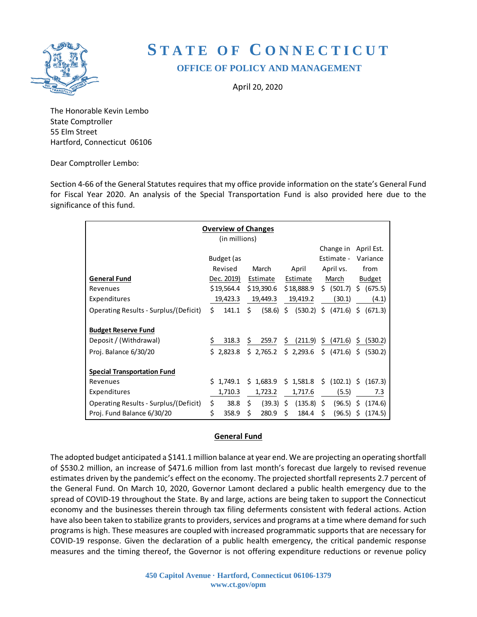

# **S TATE OF C ONNECTICUT OFFICE OF POLICY AND MANAGEMENT**

April 20, 2020

The Honorable Kevin Lembo State Comptroller 55 Elm Street Hartford, Connecticut 06106

Dear Comptroller Lembo:

Section 4-66 of the General Statutes requires that my office provide information on the state's General Fund for Fiscal Year 2020. An analysis of the Special Transportation Fund is also provided here due to the significance of this fund.

| <b>Overview of Changes</b>            |    |            |    |             |    |              |    |                                             |               |            |
|---------------------------------------|----|------------|----|-------------|----|--------------|----|---------------------------------------------|---------------|------------|
| (in millions)                         |    |            |    |             |    |              |    |                                             |               |            |
|                                       |    |            |    |             |    |              |    | Change in                                   |               | April Est. |
|                                       |    | Budget (as |    |             |    |              |    | Estimate -                                  |               | Variance   |
|                                       |    | Revised    |    | March       |    | April        |    | April vs.                                   |               | from       |
| <b>General Fund</b>                   |    | Dec. 2019) |    | Estimate    |    | Estimate     |    | March                                       | <b>Budget</b> |            |
| Revenues                              |    | \$19,564.4 |    | \$19,390.6  |    | \$18,888.9   |    | \$ (501.7) \$                               |               | (675.5)    |
| Expenditures                          |    | 19,423.3   |    | 19,449.3    |    | 19,419.2     |    | (30.1)                                      |               | (4.1)      |
| Operating Results - Surplus/(Deficit) | Ŝ. | 141.1      | \$ | $(58.6)$ \$ |    | (530.2)      |    | \$ (471.6) \$                               |               | (671.3)    |
|                                       |    |            |    |             |    |              |    |                                             |               |            |
| <b>Budget Reserve Fund</b>            |    |            |    |             |    |              |    |                                             |               |            |
| Deposit / (Withdrawal)                | \$ | 318.3      | \$ | 259.7       | Ş  | (211.9)      |    | \$ (471.6)                                  | \$.           | (530.2)    |
| Proj. Balance 6/30/20                 | Ś. | 2,823.8    |    | \$2,765.2   |    | \$2,293.6    |    | $\frac{1}{2}$ (471.6) $\frac{1}{2}$ (530.2) |               |            |
|                                       |    |            |    |             |    |              |    |                                             |               |            |
| <b>Special Transportation Fund</b>    |    |            |    |             |    |              |    |                                             |               |            |
| Revenues                              |    | \$1,749.1  |    | \$1,683.9   |    | \$1,581.8    | \$ | $(102.1)$ \$                                |               | (167.3)    |
| Expenditures                          |    | 1,710.3    |    | 1,723.2     |    | 1,717.6      |    | (5.5)                                       |               | 7.3        |
| Operating Results - Surplus/(Deficit) | \$ | 38.8       | Ŝ. | (39.3)      | \$ | $(135.8)$ \$ |    | $(96.5)$ \$                                 |               | (174.6)    |
| Proj. Fund Balance 6/30/20            | \$ | 358.9      | \$ | 280.9       | \$ | 184.4        | \$ | (96.5)                                      | Ŝ.            | (174.5)    |

# **General Fund**

The adopted budget anticipated a \$141.1 million balance at year end. We are projecting an operating shortfall of \$530.2 million, an increase of \$471.6 million from last month's forecast due largely to revised revenue estimates driven by the pandemic's effect on the economy. The projected shortfall represents 2.7 percent of the General Fund. On March 10, 2020, Governor Lamont declared a public health emergency due to the spread of COVID-19 throughout the State. By and large, actions are being taken to support the Connecticut economy and the businesses therein through tax filing deferments consistent with federal actions. Action have also been taken to stabilize grants to providers, services and programs at a time where demand for such programs is high. These measures are coupled with increased programmatic supports that are necessary for COVID-19 response. Given the declaration of a public health emergency, the critical pandemic response measures and the timing thereof, the Governor is not offering expenditure reductions or revenue policy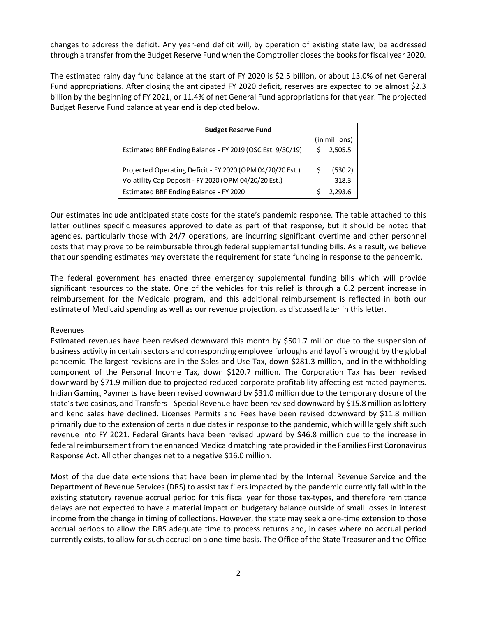changes to address the deficit. Any year-end deficit will, by operation of existing state law, be addressed through a transfer from the Budget Reserve Fund when the Comptroller closes the books for fiscal year 2020.

The estimated rainy day fund balance at the start of FY 2020 is \$2.5 billion, or about 13.0% of net General Fund appropriations. After closing the anticipated FY 2020 deficit, reserves are expected to be almost \$2.3 billion by the beginning of FY 2021, or 11.4% of net General Fund appropriations for that year. The projected Budget Reserve Fund balance at year end is depicted below.

| <b>Budget Reserve Fund</b>                                |   |               |
|-----------------------------------------------------------|---|---------------|
|                                                           |   | (in millions) |
| Estimated BRF Ending Balance - FY 2019 (OSC Est. 9/30/19) | Ś | 2,505.5       |
| Projected Operating Deficit - FY 2020 (OPM 04/20/20 Est.) | Ś | (530.2)       |
| Volatility Cap Deposit - FY 2020 (OPM 04/20/20 Est.)      |   | 318.3         |
| Estimated BRF Ending Balance - FY 2020                    |   | 2.293.6       |

Our estimates include anticipated state costs for the state's pandemic response. The table attached to this letter outlines specific measures approved to date as part of that response, but it should be noted that agencies, particularly those with 24/7 operations, are incurring significant overtime and other personnel costs that may prove to be reimbursable through federal supplemental funding bills. As a result, we believe that our spending estimates may overstate the requirement for state funding in response to the pandemic.

The federal government has enacted three emergency supplemental funding bills which will provide significant resources to the state. One of the vehicles for this relief is through a 6.2 percent increase in reimbursement for the Medicaid program, and this additional reimbursement is reflected in both our estimate of Medicaid spending as well as our revenue projection, as discussed later in this letter.

# **Revenues**

Estimated revenues have been revised downward this month by \$501.7 million due to the suspension of business activity in certain sectors and corresponding employee furloughs and layoffs wrought by the global pandemic. The largest revisions are in the Sales and Use Tax, down \$281.3 million, and in the withholding component of the Personal Income Tax, down \$120.7 million. The Corporation Tax has been revised downward by \$71.9 million due to projected reduced corporate profitability affecting estimated payments. Indian Gaming Payments have been revised downward by \$31.0 million due to the temporary closure of the state's two casinos, and Transfers - Special Revenue have been revised downward by \$15.8 million as lottery and keno sales have declined. Licenses Permits and Fees have been revised downward by \$11.8 million primarily due to the extension of certain due dates in response to the pandemic, which will largely shift such revenue into FY 2021. Federal Grants have been revised upward by \$46.8 million due to the increase in federal reimbursement from the enhanced Medicaid matching rate provided in the Families First Coronavirus Response Act. All other changes net to a negative \$16.0 million.

Most of the due date extensions that have been implemented by the Internal Revenue Service and the Department of Revenue Services (DRS) to assist tax filers impacted by the pandemic currently fall within the existing statutory revenue accrual period for this fiscal year for those tax-types, and therefore remittance delays are not expected to have a material impact on budgetary balance outside of small losses in interest income from the change in timing of collections. However, the state may seek a one-time extension to those accrual periods to allow the DRS adequate time to process returns and, in cases where no accrual period currently exists, to allow for such accrual on a one-time basis. The Office of the State Treasurer and the Office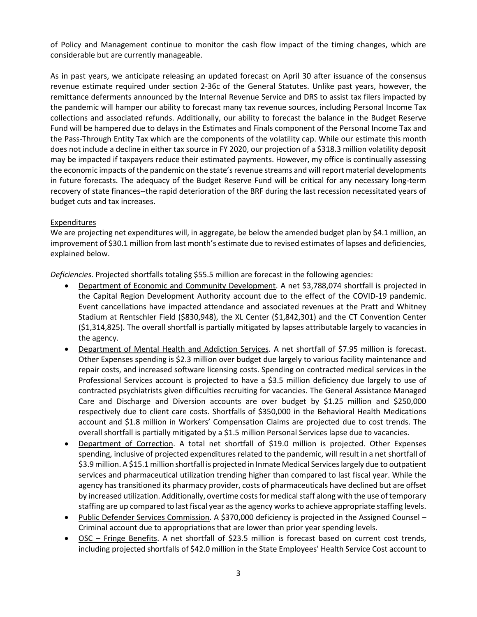of Policy and Management continue to monitor the cash flow impact of the timing changes, which are considerable but are currently manageable.

As in past years, we anticipate releasing an updated forecast on April 30 after issuance of the consensus revenue estimate required under section 2-36c of the General Statutes. Unlike past years, however, the remittance deferments announced by the Internal Revenue Service and DRS to assist tax filers impacted by the pandemic will hamper our ability to forecast many tax revenue sources, including Personal Income Tax collections and associated refunds. Additionally, our ability to forecast the balance in the Budget Reserve Fund will be hampered due to delays in the Estimates and Finals component of the Personal Income Tax and the Pass-Through Entity Tax which are the components of the volatility cap. While our estimate this month does not include a decline in either tax source in FY 2020, our projection of a \$318.3 million volatility deposit may be impacted if taxpayers reduce their estimated payments. However, my office is continually assessing the economic impacts of the pandemic on the state's revenue streams and will report material developments in future forecasts. The adequacy of the Budget Reserve Fund will be critical for any necessary long-term recovery of state finances--the rapid deterioration of the BRF during the last recession necessitated years of budget cuts and tax increases.

# Expenditures

We are projecting net expenditures will, in aggregate, be below the amended budget plan by \$4.1 million, an improvement of \$30.1 million from last month's estimate due to revised estimates of lapses and deficiencies, explained below.

*Deficiencies*. Projected shortfalls totaling \$55.5 million are forecast in the following agencies:

- Department of Economic and Community Development. A net \$3,788,074 shortfall is projected in the Capital Region Development Authority account due to the effect of the COVID-19 pandemic. Event cancellations have impacted attendance and associated revenues at the Pratt and Whitney Stadium at Rentschler Field (\$830,948), the XL Center (\$1,842,301) and the CT Convention Center (\$1,314,825). The overall shortfall is partially mitigated by lapses attributable largely to vacancies in the agency.
- Department of Mental Health and Addiction Services. A net shortfall of \$7.95 million is forecast. Other Expenses spending is \$2.3 million over budget due largely to various facility maintenance and repair costs, and increased software licensing costs. Spending on contracted medical services in the Professional Services account is projected to have a \$3.5 million deficiency due largely to use of contracted psychiatrists given difficulties recruiting for vacancies. The General Assistance Managed Care and Discharge and Diversion accounts are over budget by \$1.25 million and \$250,000 respectively due to client care costs. Shortfalls of \$350,000 in the Behavioral Health Medications account and \$1.8 million in Workers' Compensation Claims are projected due to cost trends. The overall shortfall is partially mitigated by a \$1.5 million Personal Services lapse due to vacancies.
- Department of Correction. A total net shortfall of \$19.0 million is projected. Other Expenses spending, inclusive of projected expenditures related to the pandemic, will result in a net shortfall of \$3.9 million. A \$15.1 million shortfall is projected in Inmate Medical Services largely due to outpatient services and pharmaceutical utilization trending higher than compared to last fiscal year. While the agency has transitioned its pharmacy provider, costs of pharmaceuticals have declined but are offset by increased utilization. Additionally, overtime costs for medical staff along with the use of temporary staffing are up compared to last fiscal year as the agency works to achieve appropriate staffing levels.
- Public Defender Services Commission. A \$370,000 deficiency is projected in the Assigned Counsel Criminal account due to appropriations that are lower than prior year spending levels.
- OSC Fringe Benefits. A net shortfall of \$23.5 million is forecast based on current cost trends, including projected shortfalls of \$42.0 million in the State Employees' Health Service Cost account to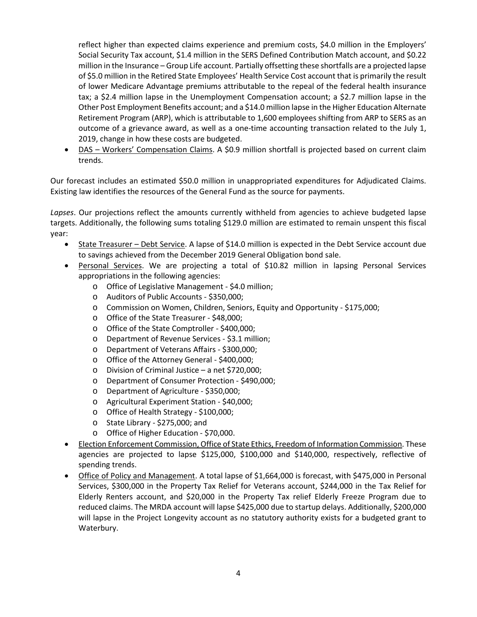reflect higher than expected claims experience and premium costs, \$4.0 million in the Employers' Social Security Tax account, \$1.4 million in the SERS Defined Contribution Match account, and \$0.22 million in the Insurance – Group Life account. Partially offsetting these shortfalls are a projected lapse of \$5.0 million in the Retired State Employees' Health Service Cost account that is primarily the result of lower Medicare Advantage premiums attributable to the repeal of the federal health insurance tax; a \$2.4 million lapse in the Unemployment Compensation account; a \$2.7 million lapse in the Other Post Employment Benefits account; and a \$14.0 million lapse in the Higher Education Alternate Retirement Program (ARP), which is attributable to 1,600 employees shifting from ARP to SERS as an outcome of a grievance award, as well as a one-time accounting transaction related to the July 1, 2019, change in how these costs are budgeted.

DAS – Workers' Compensation Claims. A \$0.9 million shortfall is projected based on current claim trends.

Our forecast includes an estimated \$50.0 million in unappropriated expenditures for Adjudicated Claims. Existing law identifies the resources of the General Fund as the source for payments.

*Lapses*. Our projections reflect the amounts currently withheld from agencies to achieve budgeted lapse targets. Additionally, the following sums totaling \$129.0 million are estimated to remain unspent this fiscal year:

- State Treasurer Debt Service. A lapse of \$14.0 million is expected in the Debt Service account due to savings achieved from the December 2019 General Obligation bond sale.
- Personal Services. We are projecting a total of \$10.82 million in lapsing Personal Services appropriations in the following agencies:
	- o Office of Legislative Management \$4.0 million;
	- o Auditors of Public Accounts \$350,000;
	- o Commission on Women, Children, Seniors, Equity and Opportunity \$175,000;
	- o Office of the State Treasurer \$48,000;
	- o Office of the State Comptroller \$400,000;
	- o Department of Revenue Services \$3.1 million;
	- o Department of Veterans Affairs \$300,000;
	- o Office of the Attorney General \$400,000;
	- o Division of Criminal Justice a net \$720,000;
	- o Department of Consumer Protection \$490,000;
	- o Department of Agriculture \$350,000;
	- o Agricultural Experiment Station \$40,000;
	- o Office of Health Strategy \$100,000;
	- o State Library \$275,000; and
	- o Office of Higher Education \$70,000.
- Election Enforcement Commission, Office of State Ethics, Freedom of Information Commission. These agencies are projected to lapse \$125,000, \$100,000 and \$140,000, respectively, reflective of spending trends.
- Office of Policy and Management. A total lapse of \$1,664,000 is forecast, with \$475,000 in Personal Services, \$300,000 in the Property Tax Relief for Veterans account, \$244,000 in the Tax Relief for Elderly Renters account, and \$20,000 in the Property Tax relief Elderly Freeze Program due to reduced claims. The MRDA account will lapse \$425,000 due to startup delays. Additionally, \$200,000 will lapse in the Project Longevity account as no statutory authority exists for a budgeted grant to Waterbury.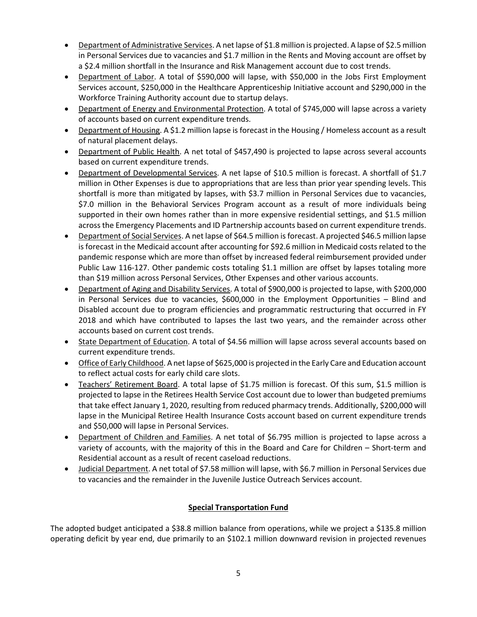- Department of Administrative Services. A net lapse of \$1.8 million is projected. A lapse of \$2.5 million in Personal Services due to vacancies and \$1.7 million in the Rents and Moving account are offset by a \$2.4 million shortfall in the Insurance and Risk Management account due to cost trends.
- Department of Labor. A total of \$590,000 will lapse, with \$50,000 in the Jobs First Employment Services account, \$250,000 in the Healthcare Apprenticeship Initiative account and \$290,000 in the Workforce Training Authority account due to startup delays.
- Department of Energy and Environmental Protection. A total of \$745,000 will lapse across a variety of accounts based on current expenditure trends.
- Department of Housing. A \$1.2 million lapse is forecast in the Housing / Homeless account as a result of natural placement delays.
- Department of Public Health. A net total of \$457,490 is projected to lapse across several accounts based on current expenditure trends.
- Department of Developmental Services. A net lapse of \$10.5 million is forecast. A shortfall of \$1.7 million in Other Expenses is due to appropriations that are less than prior year spending levels. This shortfall is more than mitigated by lapses, with \$3.7 million in Personal Services due to vacancies, \$7.0 million in the Behavioral Services Program account as a result of more individuals being supported in their own homes rather than in more expensive residential settings, and \$1.5 million across the Emergency Placements and ID Partnership accounts based on current expenditure trends.
- Department of Social Services. A net lapse of \$64.5 million is forecast. A projected \$46.5 million lapse is forecast in the Medicaid account after accounting for \$92.6 million in Medicaid costs related to the pandemic response which are more than offset by increased federal reimbursement provided under Public Law 116-127. Other pandemic costs totaling \$1.1 million are offset by lapses totaling more than \$19 million across Personal Services, Other Expenses and other various accounts.
- Department of Aging and Disability Services. A total of \$900,000 is projected to lapse, with \$200,000 in Personal Services due to vacancies, \$600,000 in the Employment Opportunities – Blind and Disabled account due to program efficiencies and programmatic restructuring that occurred in FY 2018 and which have contributed to lapses the last two years, and the remainder across other accounts based on current cost trends.
- State Department of Education. A total of \$4.56 million will lapse across several accounts based on current expenditure trends.
- Office of Early Childhood. A net lapse of \$625,000 is projected in the Early Care and Education account to reflect actual costs for early child care slots.
- Teachers' Retirement Board. A total lapse of \$1.75 million is forecast. Of this sum, \$1.5 million is projected to lapse in the Retirees Health Service Cost account due to lower than budgeted premiums that take effect January 1, 2020, resulting from reduced pharmacy trends. Additionally, \$200,000 will lapse in the Municipal Retiree Health Insurance Costs account based on current expenditure trends and \$50,000 will lapse in Personal Services.
- Department of Children and Families. A net total of \$6.795 million is projected to lapse across a variety of accounts, with the majority of this in the Board and Care for Children – Short-term and Residential account as a result of recent caseload reductions.
- Judicial Department. A net total of \$7.58 million will lapse, with \$6.7 million in Personal Services due to vacancies and the remainder in the Juvenile Justice Outreach Services account.

# **Special Transportation Fund**

The adopted budget anticipated a \$38.8 million balance from operations, while we project a \$135.8 million operating deficit by year end, due primarily to an \$102.1 million downward revision in projected revenues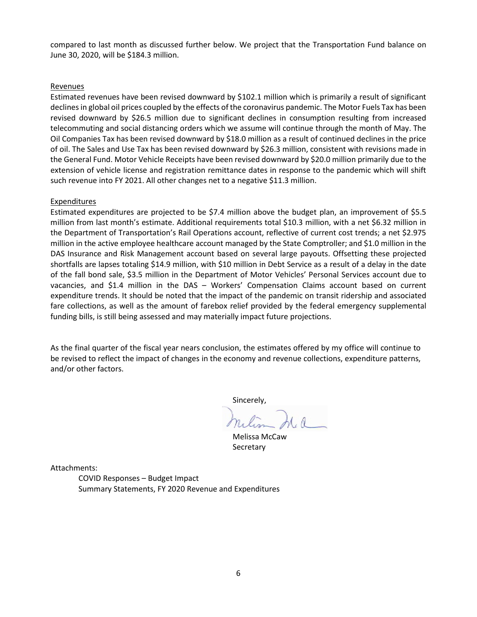compared to last month as discussed further below. We project that the Transportation Fund balance on June 30, 2020, will be \$184.3 million.

#### Revenues

Estimated revenues have been revised downward by \$102.1 million which is primarily a result of significant declines in global oil prices coupled by the effects of the coronavirus pandemic. The Motor Fuels Tax has been revised downward by \$26.5 million due to significant declines in consumption resulting from increased telecommuting and social distancing orders which we assume will continue through the month of May. The Oil Companies Tax has been revised downward by \$18.0 million as a result of continued declines in the price of oil. The Sales and Use Tax has been revised downward by \$26.3 million, consistent with revisions made in the General Fund. Motor Vehicle Receipts have been revised downward by \$20.0 million primarily due to the extension of vehicle license and registration remittance dates in response to the pandemic which will shift such revenue into FY 2021. All other changes net to a negative \$11.3 million.

#### **Expenditures**

Estimated expenditures are projected to be \$7.4 million above the budget plan, an improvement of \$5.5 million from last month's estimate. Additional requirements total \$10.3 million, with a net \$6.32 million in the Department of Transportation's Rail Operations account, reflective of current cost trends; a net \$2.975 million in the active employee healthcare account managed by the State Comptroller; and \$1.0 million in the DAS Insurance and Risk Management account based on several large payouts. Offsetting these projected shortfalls are lapses totaling \$14.9 million, with \$10 million in Debt Service as a result of a delay in the date of the fall bond sale, \$3.5 million in the Department of Motor Vehicles' Personal Services account due to vacancies, and \$1.4 million in the DAS – Workers' Compensation Claims account based on current expenditure trends. It should be noted that the impact of the pandemic on transit ridership and associated fare collections, as well as the amount of farebox relief provided by the federal emergency supplemental funding bills, is still being assessed and may materially impact future projections.

As the final quarter of the fiscal year nears conclusion, the estimates offered by my office will continue to be revised to reflect the impact of changes in the economy and revenue collections, expenditure patterns, and/or other factors.

Sincerely,

Melissa McCaw **Secretary** 

Attachments:

COVID Responses – Budget Impact Summary Statements, FY 2020 Revenue and Expenditures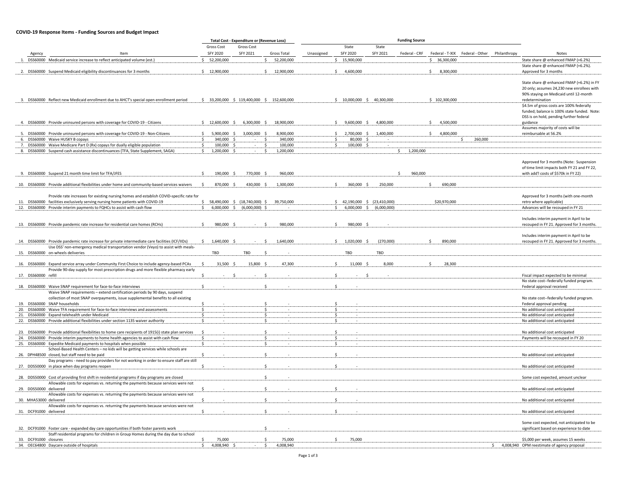#### **COVID-19 Response Items - Funding Sources and Budget Impact**

|                        |                                                                                                                                                                                                |                         | Total Cost - Expenditure or (Revenue Loss) |                                             |            |                                |             | <b>Funding Source</b> |                 |                                                 |                                                                                      |
|------------------------|------------------------------------------------------------------------------------------------------------------------------------------------------------------------------------------------|-------------------------|--------------------------------------------|---------------------------------------------|------------|--------------------------------|-------------|-----------------------|-----------------|-------------------------------------------------|--------------------------------------------------------------------------------------|
|                        |                                                                                                                                                                                                | Gross Cost              | Gross Cost                                 |                                             |            | State                          | State       |                       |                 |                                                 |                                                                                      |
| Agency                 | Item                                                                                                                                                                                           | SFY 2020                | SFY 2021                                   | Gross Total                                 | Unassigned | SFY 2020                       | SFY 2021    | Federal - CRF         |                 | Federal - T-XIX Federal - Other<br>Philanthropy | Notes                                                                                |
|                        | DSS60000 Medicaid service increase to reflect anticipated volume (est.)                                                                                                                        | 52,200,000<br>S.        |                                            | Ŝ.<br>52,200,000                            |            | \$15,900,000                   |             |                       | \$36,300,000    |                                                 | State share @ enhanced FMAP (+6.2%)                                                  |
|                        |                                                                                                                                                                                                |                         |                                            |                                             |            |                                |             |                       |                 |                                                 | State share @ enhanced FMAP (+6.2%).                                                 |
|                        | 2. DSS60000 Suspend Medicaid eligibility discontinuances for 3 months                                                                                                                          | \$12,900,000            |                                            | \$12,900,000                                |            | \$4,600,000                    |             |                       | s.<br>8,300,000 |                                                 | Approved for 3 months                                                                |
|                        |                                                                                                                                                                                                |                         |                                            |                                             |            |                                |             |                       |                 |                                                 |                                                                                      |
|                        |                                                                                                                                                                                                |                         |                                            |                                             |            |                                |             |                       |                 |                                                 | State share @ enhanced FMAP (+6.2%) in FY                                            |
|                        |                                                                                                                                                                                                |                         |                                            |                                             |            |                                |             |                       |                 |                                                 | 20 only; assumes 24,230 new enrollees with<br>90% staying on Medicaid until 12-month |
|                        | 3. DSS60000 Reflect new Medicaid enrollment due to AHCT's special open enrollment period                                                                                                       |                         |                                            | \$ 33,200,000 \$ 119,400,000 \$ 152,600,000 |            | \$ 10,000,000 \$ 40,300,000    |             |                       | \$102,300,000   |                                                 | redetermination                                                                      |
|                        |                                                                                                                                                                                                |                         |                                            |                                             |            |                                |             |                       |                 |                                                 | \$4.5m of gross costs are 100% federally                                             |
|                        |                                                                                                                                                                                                |                         |                                            |                                             |            |                                |             |                       |                 |                                                 | funded; balance is 100% state funded. Note                                           |
|                        |                                                                                                                                                                                                |                         |                                            |                                             |            |                                |             |                       |                 |                                                 | DSS is on hold, pending further federal                                              |
|                        | 4. DSS60000 Provide uninsured persons with coverage for COVID-19 - Citizens                                                                                                                    | \$12,600,000\$          | 6,300,000 \$                               | 18,900,000                                  |            | 9,600,000 \$<br>S.             | 4,800,000   |                       | S.<br>4,500,000 |                                                 | guidance                                                                             |
|                        |                                                                                                                                                                                                |                         |                                            |                                             |            |                                |             |                       |                 |                                                 | Assumes majority of costs will be                                                    |
|                        | 5. DSS60000 Provide uninsured persons with coverage for COVID-19 - Non-Citizens                                                                                                                | \$<br>5,900,000         | 3,000,000<br>- S                           | - Ś<br>8,900,000                            |            | 2,700,000<br>S.<br>\$          | 1,400,000   |                       | Ŝ.<br>4,800,000 |                                                 | reimbursable at 56.2%                                                                |
|                        | 6. DSS60000 Waive HUSKY B copays                                                                                                                                                               | 340,000<br>S.<br>- \$   |                                            | 340,000<br>- S                              |            | 80,000<br>- Ś                  |             |                       |                 | 260,000<br>-S                                   |                                                                                      |
|                        | 7. DSS60000 Waive Medicare Part D (Rx) copays for dually eligible population                                                                                                                   | S.<br>100,000           | - \$<br>$\sim$                             | 100,000<br>-S<br>- S                        |            | \$<br>100,000 \$               | $\sim$      |                       |                 |                                                 |                                                                                      |
|                        | 8. DSS60000 Suspend cash assistance discontinuances (TFA, State Supplement, SAGA)                                                                                                              | 1,200,000<br>\$         |                                            | 1,200,000                                   |            |                                |             | \$1,200,000           |                 |                                                 |                                                                                      |
|                        |                                                                                                                                                                                                |                         |                                            |                                             |            |                                |             |                       |                 |                                                 | Approved for 3 months (Note: Suspension                                              |
|                        |                                                                                                                                                                                                |                         |                                            |                                             |            |                                |             |                       |                 |                                                 | of time limit impacts both FY 21 and FY 22,                                          |
|                        | 9. DSS60000 Suspend 21 month time limit for TFA/JFES                                                                                                                                           | 190,000 \$              | 770,000 \$                                 | 960,000                                     |            |                                |             | 960,000<br>-S         |                 |                                                 | with add'l costs of \$570k in FY 22)                                                 |
|                        |                                                                                                                                                                                                |                         |                                            |                                             |            |                                |             |                       |                 |                                                 |                                                                                      |
|                        | 10. DSS60000 Provide additional flexibilities under home and community-based services waivers                                                                                                  | S.<br>870,000 \$        | 430,000 \$                                 | 1,300,000                                   |            | S.<br>360,000 \$               | 250,000     |                       | \$<br>690,000   |                                                 |                                                                                      |
|                        |                                                                                                                                                                                                |                         |                                            |                                             |            |                                |             |                       |                 |                                                 |                                                                                      |
|                        | Provide rate increases for existing nursing homes and establish COVID-specific rate for                                                                                                        |                         |                                            |                                             |            |                                |             |                       |                 |                                                 | Approved for 3 months (with one-month                                                |
|                        | 11. DSS60000 facilities exclusively serving nursing home patients with COVID-19                                                                                                                | \$                      | 58,490,000 \$ (18,740,000) \$              | 39,750,000                                  |            | $$42,190,000$$ $$(23,410,000)$ |             |                       | \$20,970,000    |                                                 | retro where applicable)                                                              |
|                        | 12. DSS60000 Provide interim payments to FQHCs to assist with cash flow                                                                                                                        | Ŝ.<br>$6,000,000$ \$    | $(6,000,000)$ \$                           |                                             |            | \$<br>6,000,000<br>-S          | (6,000,000) |                       |                 |                                                 | Advances will be recouped in FY 21                                                   |
|                        |                                                                                                                                                                                                |                         |                                            |                                             |            |                                |             |                       |                 |                                                 | Includes interim payment in April to be                                              |
|                        | 13. DSS60000 Provide pandemic rate increase for residential care homes (RCHs)                                                                                                                  | 980,000 \$<br>-S        |                                            | 980,000<br>- S                              |            | 980,000<br>-S                  |             |                       |                 |                                                 | recouped in FY 21. Approved for 3 months.                                            |
|                        |                                                                                                                                                                                                |                         |                                            |                                             |            |                                |             |                       |                 |                                                 |                                                                                      |
|                        |                                                                                                                                                                                                |                         |                                            |                                             |            |                                |             |                       |                 |                                                 | Includes interim payment in April to be                                              |
|                        | 14. DSS60000 Provide pandemic rate increase for private intermediate care facilities (ICF/IIDs)                                                                                                | 1,640,000 \$<br>S.      |                                            | 1,640,000<br>S.                             |            | \$1,020,000\$                  | (270,000)   |                       | 890,000<br>Ŝ.   |                                                 | recouped in FY 21. Approved for 3 months                                             |
|                        | Use DSS' non-emergency medical transportation vendor (Veyo) to assist with meals-                                                                                                              |                         |                                            |                                             |            |                                |             |                       |                 |                                                 |                                                                                      |
|                        | 15. DSS60000 on-wheels deliveries                                                                                                                                                              | TBD                     | TBD                                        |                                             |            | TBD                            | TBD         |                       |                 |                                                 |                                                                                      |
|                        |                                                                                                                                                                                                |                         |                                            |                                             |            |                                |             |                       |                 |                                                 |                                                                                      |
|                        | 16. DSS60000 Expand service array under Community First Choice to include agency-based PCAs                                                                                                    | <sup>\$</sup><br>31,500 | 15,800                                     | 47,300                                      |            | 11,000                         | 8,000       |                       | 28,300          |                                                 |                                                                                      |
|                        | Provide 90-day supply for most prescription drugs and more flexible pharmacy early                                                                                                             |                         |                                            |                                             |            |                                |             |                       |                 |                                                 |                                                                                      |
| 17. DSS60000 refill    |                                                                                                                                                                                                |                         |                                            |                                             |            |                                |             |                       |                 |                                                 | Fiscal impact expected to be minimal<br>No state cost--federally funded program.     |
|                        | 18. DSS60000 Waive SNAP requirement for face-to-face interviews                                                                                                                                |                         |                                            | $\zeta$                                     |            |                                |             |                       |                 |                                                 | Federal approval received                                                            |
|                        | Waive SNAP requirements - extend certification periods by 90 days, suspend                                                                                                                     |                         |                                            |                                             |            |                                |             |                       |                 |                                                 |                                                                                      |
|                        | collection of most SNAP overpayments, issue supplemental benefits to all existing                                                                                                              |                         |                                            |                                             |            |                                |             |                       |                 |                                                 | No state cost--federally funded program.                                             |
|                        | 19. DSS60000 SNAP households                                                                                                                                                                   |                         |                                            |                                             |            |                                |             |                       |                 |                                                 | Federal approval pending                                                             |
|                        | 20. DSS60000 Waive TFA requirement for face-to-face interviews and assessments                                                                                                                 | -S                      |                                            | Ŝ                                           |            | -S                             |             |                       |                 |                                                 | No additional cost anticipated                                                       |
|                        | 21. DSS60000 Expand telehealth under Medicaid                                                                                                                                                  |                         |                                            | Ŝ                                           |            | S.                             |             |                       |                 |                                                 | No additional cost anticipated                                                       |
|                        | 22. DSS60000 Provide additional flexibilities under section 1135 waiver authority                                                                                                              | -S                      |                                            | -S                                          |            | S.                             |             |                       |                 |                                                 | No additional cost anticipated                                                       |
|                        |                                                                                                                                                                                                |                         |                                            | Ś                                           |            |                                |             |                       |                 |                                                 |                                                                                      |
|                        | 23. DSS60000 Provide additional flexibilities to home care recipients of 1915(i) state plan services<br>24. DSS60000 Provide interim payments to home health agencies to assist with cash flow | $\mathsf{s}$            |                                            | $\mathsf{s}$                                |            | S.                             |             |                       |                 |                                                 | No additional cost anticipated<br>Payments will be recouped in FY 20                 |
|                        | 25. DSS60000 Expedite Medicaid payments to hospitals when possible                                                                                                                             |                         |                                            |                                             |            | - Ś                            |             |                       |                 |                                                 |                                                                                      |
|                        | School-Based Health Centers - no kids will be getting services while schools are                                                                                                               |                         |                                            |                                             |            |                                |             |                       |                 |                                                 |                                                                                      |
|                        | 26. DPH48500 closed, but staff need to be paid                                                                                                                                                 | Ś                       |                                            | Ŝ.                                          |            | S.                             |             |                       |                 |                                                 | No additional cost anticipated                                                       |
|                        | Day programs - need to pay providers for not working in order to ensure staff are still                                                                                                        |                         |                                            |                                             |            |                                |             |                       |                 |                                                 |                                                                                      |
|                        | 27. DDS50000 in place when day programs reopen                                                                                                                                                 | Š.                      |                                            |                                             |            |                                |             |                       |                 |                                                 | No additional cost anticipated                                                       |
|                        |                                                                                                                                                                                                |                         |                                            |                                             |            |                                |             |                       |                 |                                                 |                                                                                      |
|                        | 28. DDS50000 Cost of providing first shift in residential programs if day programs are closed                                                                                                  |                         |                                            | Ŝ.                                          |            |                                |             |                       |                 |                                                 | Some cost expected, amount unclear                                                   |
|                        | Allowable costs for expenses vs. returning the payments because services were not                                                                                                              |                         |                                            |                                             |            |                                |             |                       |                 |                                                 |                                                                                      |
| 29. DDS50000 delivered |                                                                                                                                                                                                |                         |                                            |                                             |            |                                |             |                       |                 |                                                 | No additional cost anticipated                                                       |
| 30. MHA53000 delivered | Allowable costs for expenses vs. returning the payments because services were not                                                                                                              | -S                      |                                            |                                             |            |                                |             |                       |                 |                                                 | No additional cost anticipated                                                       |
|                        | Allowable costs for expenses vs. returning the payments because services were not                                                                                                              |                         |                                            |                                             |            |                                |             |                       |                 |                                                 |                                                                                      |
| 31. DCF91000 delivered |                                                                                                                                                                                                |                         |                                            | ¢,                                          |            |                                |             |                       |                 |                                                 | No additional cost anticipated                                                       |
|                        |                                                                                                                                                                                                |                         |                                            |                                             |            |                                |             |                       |                 |                                                 |                                                                                      |
|                        |                                                                                                                                                                                                |                         |                                            |                                             |            |                                |             |                       |                 |                                                 | Some cost expected, not anticipated to be                                            |
|                        | 32. DCF91000 Foster care - expanded day care opportunities if both foster parents work                                                                                                         |                         |                                            | Ŝ                                           |            |                                |             |                       |                 |                                                 | significant based on experience to date                                              |
|                        | Staff residential programs for children in Group Homes during the day due to school                                                                                                            |                         |                                            |                                             |            |                                |             |                       |                 |                                                 |                                                                                      |
| 33. DCF91000 closures  |                                                                                                                                                                                                | 75,000<br>S.            |                                            | 75,000                                      |            | 75,000                         |             |                       |                 |                                                 | \$5,000 per week, assumes 15 weeks                                                   |
|                        | 34. OEC64800 Daycare outside of hospitals                                                                                                                                                      | 4,008,940 \$<br>Ŝ.      |                                            | 4,008,940<br>S.                             |            |                                |             |                       |                 |                                                 | \$4,008,940 OPM reestimate of agency proposal                                        |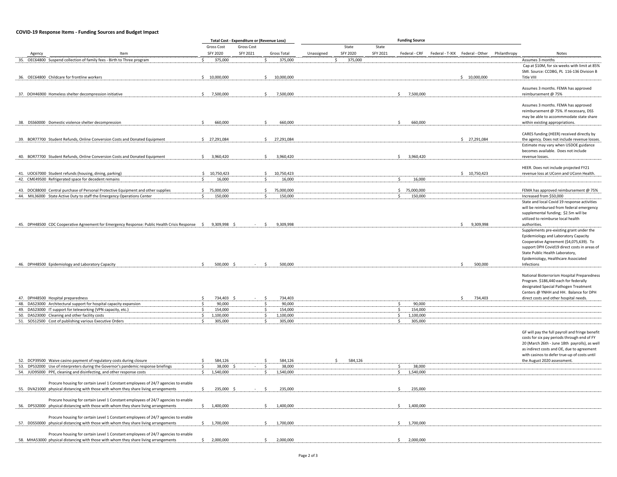#### **COVID-19 Response Items - Funding Sources and Budget Impact**

|                                                                                                                 |                        | <b>Total Cost - Expenditure or (Revenue Loss)</b> |                        |            |          |          |                 |                                              |  |                                                 |
|-----------------------------------------------------------------------------------------------------------------|------------------------|---------------------------------------------------|------------------------|------------|----------|----------|-----------------|----------------------------------------------|--|-------------------------------------------------|
|                                                                                                                 | Gross Cost             | Gross Cost                                        |                        |            | State    | State    |                 |                                              |  |                                                 |
| Item<br>Agency                                                                                                  | <b>SFY 2020</b>        | SFY 2021                                          | Gross Total            | Unassigned | SFY 2020 | SFY 2021 | Federal - CRF   | Federal - T-XIX Federal - Other Philanthropy |  | <b>Notes</b>                                    |
| 35. OEC64800 Suspend collection of family fees - Birth to Three program                                         | 375,000                |                                                   | 375,000                |            | 375,000  |          |                 |                                              |  | Assumes 3 months                                |
|                                                                                                                 |                        |                                                   |                        |            |          |          |                 |                                              |  | Cap at \$10M, for six weeks with limit at 85%   |
|                                                                                                                 |                        |                                                   |                        |            |          |          |                 |                                              |  | SMI. Source: CCDBG, PL 116-136 Division B       |
| 36. OEC64800 Childcare for frontline workers                                                                    | \$10,000,000           |                                                   | 10,000,000             |            |          |          |                 | \$10,000,000                                 |  | Title VIII                                      |
|                                                                                                                 |                        |                                                   |                        |            |          |          |                 |                                              |  |                                                 |
|                                                                                                                 |                        |                                                   |                        |            |          |          |                 |                                              |  | Assumes 3 months. FEMA has approved             |
| 37. DOH46900 Homeless shelter decompression initiative                                                          | \$7,500,000            |                                                   | \$<br>7,500,000        |            |          |          | \$7,500,000     |                                              |  | reimbursement @ 75%                             |
|                                                                                                                 |                        |                                                   |                        |            |          |          |                 |                                              |  | Assumes 3 months. FEMA has approved             |
|                                                                                                                 |                        |                                                   |                        |            |          |          |                 |                                              |  | reimbursement @ 75%. If necessary, DSS          |
|                                                                                                                 |                        |                                                   |                        |            |          |          |                 |                                              |  | may be able to accommmodate state share         |
| 38. DSS60000 Domestic violence shelter decompression                                                            | 660,000<br>$\zeta$     |                                                   | 660,000                |            |          |          | 660,000         |                                              |  | within existing appropriations.                 |
|                                                                                                                 |                        |                                                   |                        |            |          |          |                 |                                              |  |                                                 |
|                                                                                                                 |                        |                                                   |                        |            |          |          |                 |                                              |  | CARES funding (HEER) received directly by       |
| 39. BOR77700 Student Refunds, Online Conversion Costs and Donated Equipment                                     | \$27,291,084           |                                                   | 27,291,084<br>Ŝ.       |            |          |          |                 | \$27,291,084                                 |  | the agency. Does not include revenue losses.    |
|                                                                                                                 |                        |                                                   |                        |            |          |          |                 |                                              |  | Estimate may vary when USDOE guidance           |
|                                                                                                                 |                        |                                                   |                        |            |          |          |                 |                                              |  | becomes available. Does not include             |
| 40. BOR77700 Student Refunds, Online Conversion Costs and Donated Equipment                                     | 3,960,420<br>S.        |                                                   | Ŝ.<br>3,960,420        |            |          |          | 3,960,420<br>Ŝ. |                                              |  | revenue losses.                                 |
|                                                                                                                 |                        |                                                   |                        |            |          |          |                 |                                              |  |                                                 |
|                                                                                                                 | \$10,750,423           |                                                   | 10,750,423             |            |          |          |                 | 5 10,750,423                                 |  | HEER. Does not include projected FY21           |
| 41. UOC67000 Student refunds (housing, dining, parking)<br>42. CME49500 Refrigerated space for decedent remains | $\mathsf{S}$<br>16,000 |                                                   | $\mathsf{S}$<br>16,000 |            |          |          | 16,000          |                                              |  | revenue loss at UConn and UConn Health.         |
|                                                                                                                 |                        |                                                   |                        |            |          |          |                 |                                              |  |                                                 |
| 43. DOC88000 Central purchase of Personal Protective Equipment and other supplies                               | \$75,000,000           |                                                   | 75,000,000             |            |          |          | \$75,000,000    |                                              |  | FEMA has approved reimbursement @ 75%           |
| 44. MIL36000 State Active Duty to staff the Emergency Operations Center                                         | 150,000                |                                                   | 150,000                |            |          |          | 150,000         |                                              |  | Increased from \$50,000                         |
|                                                                                                                 |                        |                                                   |                        |            |          |          |                 |                                              |  | State and local Covid 19 response activities    |
|                                                                                                                 |                        |                                                   |                        |            |          |          |                 |                                              |  | will be reimbursed from federal emergency       |
|                                                                                                                 |                        |                                                   |                        |            |          |          |                 |                                              |  | supplemental funding; \$2.5m will be            |
|                                                                                                                 |                        |                                                   |                        |            |          |          |                 |                                              |  | utilized to reimburse local health              |
| 45. DPH48500 CDC Cooperative Agreement for Emergency Response: Public Health Crisis Response \$ 9,309,998 \$    |                        |                                                   | 9,309,998<br>-S        |            |          |          |                 | \$9,309,998                                  |  | authorities.                                    |
|                                                                                                                 |                        |                                                   |                        |            |          |          |                 |                                              |  | Supplements pre-existing grant under the        |
|                                                                                                                 |                        |                                                   |                        |            |          |          |                 |                                              |  | Epidemiology and Laboratory Capacity            |
|                                                                                                                 |                        |                                                   |                        |            |          |          |                 |                                              |  | Cooperative Agreement (\$4,075,639). To         |
|                                                                                                                 |                        |                                                   |                        |            |          |          |                 |                                              |  | support DPH Covid19 direct costs in areas of    |
|                                                                                                                 |                        |                                                   |                        |            |          |          |                 |                                              |  | State Public Health Laboratory,                 |
|                                                                                                                 | Ŝ.                     |                                                   |                        |            |          |          |                 | Ŝ.                                           |  | Epidemiology, Healthcare Associated             |
| 46. DPH48500 Epidemiology and Laboratory Capacity                                                               | 500,000 \$             |                                                   | 500,000                |            |          |          |                 | 500,000                                      |  | Infections                                      |
|                                                                                                                 |                        |                                                   |                        |            |          |          |                 |                                              |  | National Bioterrorism Hospital Preparedness     |
|                                                                                                                 |                        |                                                   |                        |            |          |          |                 |                                              |  | Program. \$186,440 each for federally           |
|                                                                                                                 |                        |                                                   |                        |            |          |          |                 |                                              |  | designated Special Pathogen Treatment           |
|                                                                                                                 |                        |                                                   |                        |            |          |          |                 |                                              |  | Centers @ YNHH and HH. Balance for DPH          |
| 47. DPH48500 Hospital preparedness                                                                              | 734,403                |                                                   | 734,403                |            |          |          |                 | 734,403<br>$\zeta$                           |  | direct costs and other hospital needs           |
| 48. DAS23000 Architectural support for hospital capacity expansion                                              | 90,000                 |                                                   | 90,000                 |            |          |          | 90,000          |                                              |  |                                                 |
| 49. DAS23000 IT support for teleworking (VPN capacity, etc.)                                                    | 154,000                |                                                   | 154,000                |            |          |          | 154,000         |                                              |  |                                                 |
| 50. DAS23000 Cleaning and other facility costs                                                                  | 1,100,000<br>\$        |                                                   | 1,100,000              |            |          |          | 1,100,000       |                                              |  |                                                 |
| 51. SOS12500 Cost of publishing various Executive Orders                                                        | 305,000                |                                                   | 305,000                |            |          |          | 305,000         |                                              |  |                                                 |
|                                                                                                                 |                        |                                                   |                        |            |          |          |                 |                                              |  |                                                 |
|                                                                                                                 |                        |                                                   |                        |            |          |          |                 |                                              |  | GF will pay the full payroll and fringe benefit |
|                                                                                                                 |                        |                                                   |                        |            |          |          |                 |                                              |  | costs for six pay periods through end of FY     |
|                                                                                                                 |                        |                                                   |                        |            |          |          |                 |                                              |  | 20 (March 26th - June 18th payrolls), as well   |
|                                                                                                                 |                        |                                                   |                        |            |          |          |                 |                                              |  | as indirect costs and OE, due to agreement      |
|                                                                                                                 |                        |                                                   |                        |            |          |          |                 |                                              |  | with casinos to defer true-up of costs until    |
| 52. DCP39500 Waive casino payment of regulatory costs during closure                                            | 584,126<br>38,000      |                                                   | 584,126<br>38,000      |            | 584,126  |          | 38,000          |                                              |  | the August 2020 assessment.                     |
| 53. DPS32000 Use of interpreters during the Governor's pandemic response briefings                              |                        |                                                   |                        |            |          |          |                 |                                              |  |                                                 |
| 54. JUD95000 PPE, cleaning and disinfecting, and other response costs                                           | 1,540,000              |                                                   | 1,540,000              |            |          |          | 1,540,000       |                                              |  |                                                 |
| Procure housing for certain Level 1 Constant employees of 24/7 agencies to enable                               |                        |                                                   |                        |            |          |          |                 |                                              |  |                                                 |
| 55. DVA21000 physical distancing with those with whom they share living arrangements                            | 235,000                |                                                   | 235,000                |            |          |          | 235,000         |                                              |  |                                                 |
|                                                                                                                 |                        |                                                   |                        |            |          |          |                 |                                              |  |                                                 |
| Procure housing for certain Level 1 Constant employees of 24/7 agencies to enable                               |                        |                                                   |                        |            |          |          |                 |                                              |  |                                                 |
| 56. DPS32000 physical distancing with those with whom they share living arrangements                            | 1,400,000              |                                                   | 1,400,000              |            |          |          | 1,400,000       |                                              |  |                                                 |
|                                                                                                                 |                        |                                                   |                        |            |          |          |                 |                                              |  |                                                 |
| Procure housing for certain Level 1 Constant employees of 24/7 agencies to enable                               |                        |                                                   |                        |            |          |          |                 |                                              |  |                                                 |
| 57. DDS50000 physical distancing with those with whom they share living arrangements                            | 1,700,000<br>S.        |                                                   | 1,700,000              |            |          |          | 1,700,000<br>S. |                                              |  |                                                 |
|                                                                                                                 |                        |                                                   |                        |            |          |          |                 |                                              |  |                                                 |
| Procure housing for certain Level 1 Constant employees of 24/7 agencies to enable                               |                        |                                                   |                        |            |          |          |                 |                                              |  |                                                 |
| 58. MHA53000 physical distancing with those with whom they share living arrangements                            | 2,000,000              |                                                   | 2,000,000              |            |          |          | 2,000,000<br>\$ |                                              |  |                                                 |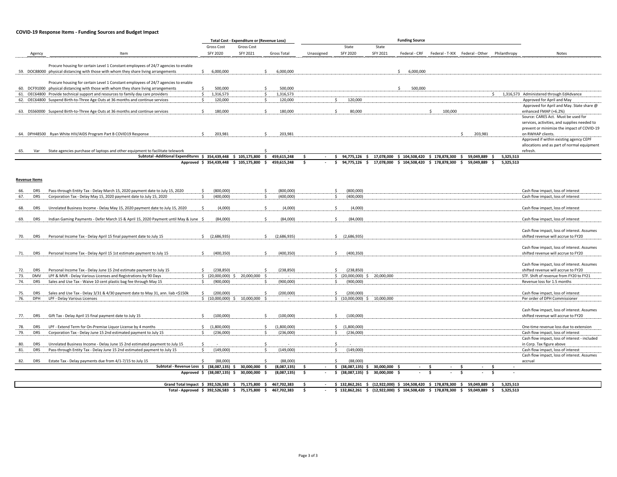#### **COVID-19 Response Items - Funding Sources and Budget Impact**

|                                                                                                      |                                                       | <b>Total Cost - Expenditure or (Revenue Loss)</b> |                            | <b>Funding Source</b> |                                                               |               |                                                                         |                    |                                               |                                                 |                                                                                     |
|------------------------------------------------------------------------------------------------------|-------------------------------------------------------|---------------------------------------------------|----------------------------|-----------------------|---------------------------------------------------------------|---------------|-------------------------------------------------------------------------|--------------------|-----------------------------------------------|-------------------------------------------------|-------------------------------------------------------------------------------------|
|                                                                                                      | Gross Cost                                            | Gross Cost                                        |                            |                       | State                                                         | State         |                                                                         |                    |                                               |                                                 |                                                                                     |
| Agency<br>Item                                                                                       | <b>SFY 2020</b>                                       | SFY 2021                                          | Gross Total                | Unassigned            | <b>SFY 2020</b>                                               | SFY 2021      |                                                                         |                    | Federal - CRF Federal - T-XIX Federal - Other | Philanthropy                                    | Notes                                                                               |
|                                                                                                      |                                                       |                                                   |                            |                       |                                                               |               |                                                                         |                    |                                               |                                                 |                                                                                     |
| Procure housing for certain Level 1 Constant employees of 24/7 agencies to enable                    |                                                       |                                                   |                            |                       |                                                               |               |                                                                         |                    |                                               |                                                 |                                                                                     |
| 59. DOC88000 physical distancing with those with whom they share living arrangements                 | \$<br>6,000,000                                       | Ŝ.                                                | 6,000,000                  |                       |                                                               |               | Ś.<br>6,000,000                                                         |                    |                                               |                                                 |                                                                                     |
| Procure housing for certain Level 1 Constant employees of 24/7 agencies to enable                    |                                                       |                                                   |                            |                       |                                                               |               |                                                                         |                    |                                               |                                                 |                                                                                     |
| 60. DCF91000 physical distancing with those with whom they share living arrangements                 | 500,000<br>\$                                         | Ś                                                 | 500,000                    |                       |                                                               |               | Š.<br>500,000                                                           |                    |                                               |                                                 |                                                                                     |
| 61. OEC64800 Provide technical support and resources to family day care providers                    | 1.316.573<br>Ŝ.                                       | Ŝ.                                                | 1,316,573                  |                       |                                                               |               |                                                                         |                    |                                               | Š.                                              | 1,316,573 Administered through EdAdvance                                            |
| 62. OEC64800 Suspend Birth-to-Three Age Outs at 36 months and continue services                      | 120,000                                               |                                                   | 120,000                    |                       | 120,000<br>\$                                                 |               |                                                                         |                    |                                               |                                                 | Approved for April and May                                                          |
|                                                                                                      |                                                       |                                                   |                            |                       |                                                               |               |                                                                         |                    |                                               |                                                 | Approved for April and May. State share @                                           |
| 63. DSS60000 Suspend Birth-to-Three Age Outs at 36 months and continue services                      | 180,000<br>$\zeta$                                    | ¢.                                                | 180,000                    |                       | 80,000<br>$\zeta$                                             |               |                                                                         | 100,000<br>$\zeta$ |                                               |                                                 | enhanced FMAP (+6.2%)                                                               |
|                                                                                                      |                                                       |                                                   |                            |                       |                                                               |               |                                                                         |                    |                                               |                                                 | Source: CARES Act. Must be used for<br>services, activities, and supplies needed to |
|                                                                                                      |                                                       |                                                   |                            |                       |                                                               |               |                                                                         |                    |                                               |                                                 | prevent or minimize the impact of COVID-19                                          |
| 64. DPH48500 Ryan White HIV/AIDS Program Part B COVID19 Response                                     | 203,981<br>Ŝ.                                         | Ś.                                                | 203,981                    |                       |                                                               |               |                                                                         |                    | 203,981<br>Ŝ.                                 |                                                 | on RWHAP clients.                                                                   |
|                                                                                                      |                                                       |                                                   |                            |                       |                                                               |               |                                                                         |                    |                                               |                                                 | Approved if within existing agency CEPF                                             |
|                                                                                                      |                                                       |                                                   |                            |                       |                                                               |               |                                                                         |                    |                                               |                                                 | allocations and as part of normal equipment                                         |
| State agencies purchase of laptops and other equipment to facilitate telework<br>65.<br>Var          |                                                       |                                                   |                            |                       |                                                               |               |                                                                         |                    |                                               |                                                 | refresh.                                                                            |
| Subtotal - Additional Expenditures \$ 354,439,448 \$ 105,175,800                                     |                                                       | - \$                                              | 459,615,248                | s.                    | 94,775,126 \$<br>s.                                           |               | 17,078,000 \$ 104,508,420 \$ 178,878,300 \$                             |                    | 59,049,889                                    | 5,325,513                                       |                                                                                     |
|                                                                                                      | Approved \$ 354,439,448 \$ 105,175,800 \$ 459,615,248 |                                                   |                            | s.                    | s.                                                            |               | 94,775,126 \$ 17,078,000 \$ 104,508,420 \$ 178,878,300 \$ 59,049,889 \$ |                    |                                               | 5.325.513                                       |                                                                                     |
|                                                                                                      |                                                       |                                                   |                            |                       |                                                               |               |                                                                         |                    |                                               |                                                 |                                                                                     |
| <b>Revenue Items</b>                                                                                 |                                                       |                                                   |                            |                       |                                                               |               |                                                                         |                    |                                               |                                                 |                                                                                     |
|                                                                                                      |                                                       |                                                   |                            |                       |                                                               |               |                                                                         |                    |                                               |                                                 |                                                                                     |
| Pass-through Entity Tax - Delay March 15, 2020 payment date to July 15, 2020<br>66.<br><b>DRS</b>    | (800.000)<br>Ŝ.                                       | Ś.                                                | (800.000)                  |                       | (800,000)<br>Ś.                                               |               |                                                                         |                    |                                               |                                                 | Cash flow impact, loss of interest                                                  |
| <b>DRS</b><br>Corporation Tax - Delay May 15, 2020 payment date to July 15, 2020<br>67.              | (400,000)<br>Ŝ                                        | -S                                                | (400,000)                  |                       | (400,000)<br>Ŝ.                                               |               |                                                                         |                    |                                               |                                                 | Cash flow impact, loss of interest                                                  |
|                                                                                                      |                                                       |                                                   |                            |                       |                                                               |               |                                                                         |                    |                                               |                                                 |                                                                                     |
| <b>DRS</b><br>Unrelated Business Income - Delay May 15, 2020 payment date to July 15, 2020<br>68.    | (4,000)                                               | Ś.                                                | (4,000)                    |                       | <sup>\$</sup><br>(4,000)                                      |               |                                                                         |                    |                                               |                                                 | Cash flow impact, loss of interest                                                  |
| 69.<br><b>DRS</b>                                                                                    | (84,000)                                              | ¢.                                                | (84,000)                   |                       | $\leq$<br>(84,000)                                            |               |                                                                         |                    |                                               |                                                 | Cash flow impact, loss of interest                                                  |
| Indian Gaming Payments - Defer March 15 & April 15, 2020 Payment until May & June \$                 |                                                       |                                                   |                            |                       |                                                               |               |                                                                         |                    |                                               |                                                 |                                                                                     |
|                                                                                                      |                                                       |                                                   |                            |                       |                                                               |               |                                                                         |                    |                                               |                                                 | Cash flow impact, loss of interest. Assumes                                         |
| Personal Income Tax - Delay April 15 final payment date to July 15<br>70.<br>DRS                     | Ś.<br>(2,686,935)                                     | Š.                                                | (2,686,935)                |                       | Ś.<br>(2,686,935)                                             |               |                                                                         |                    |                                               |                                                 | shifted revenue will accrue to FY20                                                 |
|                                                                                                      |                                                       |                                                   |                            |                       |                                                               |               |                                                                         |                    |                                               |                                                 |                                                                                     |
|                                                                                                      |                                                       |                                                   |                            |                       |                                                               |               |                                                                         |                    |                                               |                                                 | Cash flow impact, loss of interest. Assumes                                         |
| Personal Income Tax - Delay April 15 1st estimate payment to July 15<br><b>DRS</b><br>71.            | (400, 350)<br>Ś.                                      | Ś.                                                | (400, 350)                 |                       | Ś.<br>(400, 350)                                              |               |                                                                         |                    |                                               |                                                 | shifted revenue will accrue to FY20                                                 |
|                                                                                                      |                                                       |                                                   |                            |                       |                                                               |               |                                                                         |                    |                                               |                                                 |                                                                                     |
| <b>DRS</b><br>Personal Income Tax - Delay June 15 2nd estimate payment to July 15<br>72.             | (238, 850)<br>Ŝ.                                      | Š.                                                | (238, 850)                 |                       | $\mathsf{S}$<br>(238, 850)                                    |               |                                                                         |                    |                                               |                                                 | Cash flow impact, loss of interest. Assumes<br>shifted revenue will accrue to FY20  |
| 73.<br>LPF & MVR - Delay Various Licenses and Registrations by 90 Days<br><b>DMV</b>                 | \$ (20,000,000) \$                                    | 20,000,000 \$                                     |                            |                       | \$ (20,000,000) \$                                            | 20,000,000    |                                                                         |                    |                                               |                                                 | STF. Shift of revenue from FY20 to FY21                                             |
| 74.<br>Sales and Use Tax - Waive 10 cent plastic bag fee through May 15<br><b>DRS</b>                | (900,000)<br>\$                                       | \$                                                | (900,000)                  |                       | (900,000)<br>Ŝ.                                               |               |                                                                         |                    |                                               |                                                 | Revenue loss for 1.5 months                                                         |
|                                                                                                      |                                                       |                                                   |                            |                       |                                                               |               |                                                                         |                    |                                               |                                                 |                                                                                     |
| <b>DRS</b><br>Sales and Use Tax - Delay 3/31 & 4/30 payment date to May 31, ann. liab <\$150k<br>75. | Ŝ.<br>(200,000)                                       | Š.                                                | (200,000)                  |                       | (200,000)<br>\$                                               |               |                                                                         |                    |                                               |                                                 | Cash flow impact, loss of interest                                                  |
| DPH<br>LPF - Delay Various Licenses<br>76.                                                           | \$(10,000,000) \$50,000,000 \$                        |                                                   | $\sim$                     |                       | \$(10,000,000) \$50,000,000                                   |               |                                                                         |                    |                                               |                                                 | Per order of DPH Commissioner                                                       |
|                                                                                                      |                                                       |                                                   |                            |                       |                                                               |               |                                                                         |                    |                                               |                                                 |                                                                                     |
|                                                                                                      |                                                       | Ś                                                 |                            |                       |                                                               |               |                                                                         |                    |                                               |                                                 | Cash flow impact, loss of interest. Assumes                                         |
| Gift Tax - Delay April 15 final payment date to July 15<br>77.<br><b>DRS</b>                         | (100,000)<br>\$                                       |                                                   | (100,000)                  |                       | \$<br>(100,000)                                               |               |                                                                         |                    |                                               |                                                 | shifted revenue will accrue to FY20                                                 |
| LPF - Extend Term for On-Premise Liquor License by 4 months<br>78.<br><b>DRS</b>                     | \$<br>(1,800,000)                                     | Ś.                                                | (1,800,000)                |                       | (1,800,000)<br>\$                                             |               |                                                                         |                    |                                               |                                                 | One-time revenue loss due to extension                                              |
| 79.<br><b>DRS</b><br>Corporation Tax - Delay June 15 2nd estimated payment to July 15                | (236,000)<br>S.                                       | S                                                 | (236,000)                  |                       | (236,000)<br>-S                                               |               |                                                                         |                    |                                               |                                                 | Cash flow impact, loss of interest                                                  |
|                                                                                                      |                                                       |                                                   |                            |                       |                                                               |               |                                                                         |                    |                                               |                                                 | Cash flow impact, loss of interest - included                                       |
| 80.<br><b>DRS</b><br>Unrelated Business Income - Delay June 15 2nd estimated payment to July 15      |                                                       |                                                   |                            |                       |                                                               |               |                                                                         |                    |                                               |                                                 | in Corp. Tax figure above                                                           |
| 81.<br><b>DRS</b><br>Pass-through Entity Tax - Delay June 15 2nd estimated payment to July 15        | (149,000)<br>\$                                       | $\mathsf{s}$                                      | (149,000)                  |                       | (149,000)<br>Š.                                               |               |                                                                         |                    |                                               |                                                 | Cash flow impact, loss of interest                                                  |
|                                                                                                      |                                                       |                                                   |                            |                       |                                                               |               |                                                                         |                    |                                               |                                                 | Cash flow impact, loss of interest. Assumes                                         |
| Estate Tax - Delay payments due from 4/1-7/15 to July 15<br>82.<br><b>DRS</b>                        | (88.000)<br>$\zeta$                                   | $\zeta$                                           | (88.000)                   |                       | $\leq$<br>(88.000)                                            |               |                                                                         |                    | $\sim$                                        |                                                 | accrual                                                                             |
| Subtotal - Revenue Loss \$ (38,087,135) \$ 30,000,000                                                | Approved \$ (38,087,135) \$                           | \$<br>30,000,000<br>s.                            | (8,087,135)<br>(8,087,135) | s.<br>s.              | $$$ (38,087,135) $$$ 30,000,000 \$<br>\$<br>$(38,087,135)$ \$ | 30,000,000 \$ | $\sim$                                                                  | - \$<br>-\$        | -\$<br>\$<br>$\overline{\phantom{a}}$         | -Ś<br>$\overline{\phantom{a}}$<br>\$.<br>$\sim$ |                                                                                     |
|                                                                                                      |                                                       |                                                   |                            |                       |                                                               |               |                                                                         |                    |                                               |                                                 |                                                                                     |
| Grand Total Impact \$ 392,526,583                                                                    | s.                                                    | 75,175,800<br>- S                                 | 467,702,383                | Ŝ.                    | $$132,862,261$ \$                                             |               | (12,922,000) \$ 104,508,420 \$ 178,878,300                              |                    | 59,049,889<br>s.                              | 5,325,513<br>Ŝ                                  |                                                                                     |
| Total - Approved \$ 392.526.583                                                                      | s.                                                    | 75.175.800<br>s.                                  | 467.702.383                | Ŝ.                    | \$132.862.261<br>s.                                           |               | (12.922.000) \$ 104.508.420                                             | \$178.878.300      | 59.049.889<br>\$.                             | 5.325.513<br>$\ddot{\phantom{1}}$               |                                                                                     |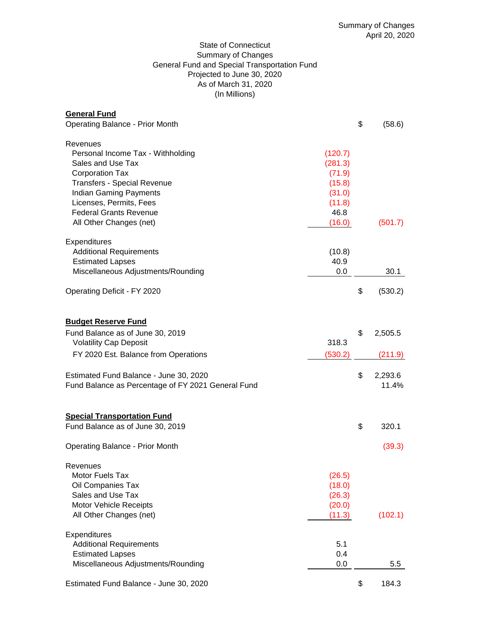# State of Connecticut Summary of Changes General Fund and Special Transportation Fund Projected to June 30, 2020 As of March 31, 2020 (In Millions)

| <b>General Fund</b><br><b>Operating Balance - Prior Month</b>                                                                                                                                                                                              |                                                                              | \$       | (58.6)                                 |
|------------------------------------------------------------------------------------------------------------------------------------------------------------------------------------------------------------------------------------------------------------|------------------------------------------------------------------------------|----------|----------------------------------------|
| Revenues<br>Personal Income Tax - Withholding<br>Sales and Use Tax<br><b>Corporation Tax</b><br><b>Transfers - Special Revenue</b><br><b>Indian Gaming Payments</b><br>Licenses, Permits, Fees<br><b>Federal Grants Revenue</b><br>All Other Changes (net) | (120.7)<br>(281.3)<br>(71.9)<br>(15.8)<br>(31.0)<br>(11.8)<br>46.8<br>(16.0) |          | (501.7)                                |
| Expenditures<br><b>Additional Requirements</b><br><b>Estimated Lapses</b><br>Miscellaneous Adjustments/Rounding                                                                                                                                            | (10.8)<br>40.9<br>0.0                                                        |          | 30.1                                   |
| Operating Deficit - FY 2020                                                                                                                                                                                                                                |                                                                              | \$       | (530.2)                                |
| <b>Budget Reserve Fund</b><br>Fund Balance as of June 30, 2019<br><b>Volatility Cap Deposit</b><br>FY 2020 Est. Balance from Operations<br>Estimated Fund Balance - June 30, 2020<br>Fund Balance as Percentage of FY 2021 General Fund                    | 318.3<br>(530.2)                                                             | \$<br>\$ | 2,505.5<br>(211.9)<br>2,293.6<br>11.4% |
| <b>Special Transportation Fund</b><br>Fund Balance as of June 30, 2019<br><b>Operating Balance - Prior Month</b>                                                                                                                                           |                                                                              | \$       | 320.1<br>(39.3)                        |
| Revenues<br>Motor Fuels Tax<br>Oil Companies Tax<br>Sales and Use Tax<br>Motor Vehicle Receipts<br>All Other Changes (net)                                                                                                                                 | (26.5)<br>(18.0)<br>(26.3)<br>(20.0)<br>(11.3)                               |          | (102.1)                                |
| <b>Expenditures</b><br><b>Additional Requirements</b><br><b>Estimated Lapses</b><br>Miscellaneous Adjustments/Rounding                                                                                                                                     | 5.1<br>0.4<br>0.0                                                            |          | 5.5                                    |
| Estimated Fund Balance - June 30, 2020                                                                                                                                                                                                                     |                                                                              | \$       | 184.3                                  |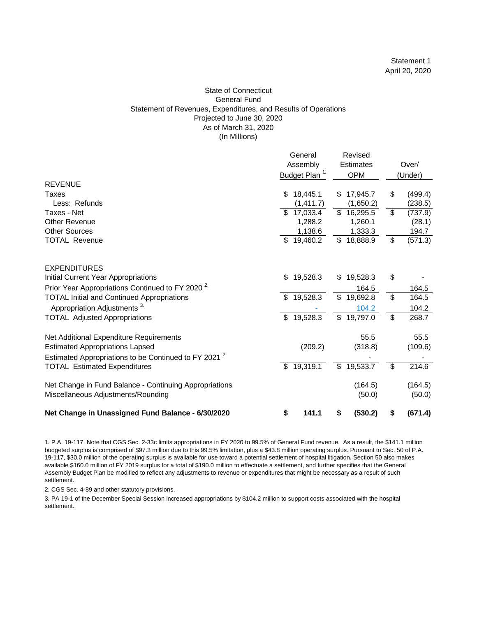#### State of Connecticut General Fund Statement of Revenues, Expenditures, and Results of Operations Projected to June 30, 2020 As of March 31, 2020 (In Millions)

|                                                                   | General |                           |    | Revised    |    |         |
|-------------------------------------------------------------------|---------|---------------------------|----|------------|----|---------|
|                                                                   |         | Assembly                  |    | Estimates  |    | Over/   |
|                                                                   |         | Budget Plan <sup>1.</sup> |    | <b>OPM</b> |    | (Under) |
| <b>REVENUE</b>                                                    |         |                           |    |            |    |         |
| Taxes                                                             | \$      | 18,445.1                  | \$ | 17,945.7   | S  | (499.4) |
| Less: Refunds                                                     |         | (1, 411.7)                |    | (1,650.2)  |    | (238.5) |
| Taxes - Net                                                       | \$      | 17,033.4                  |    | \$16,295.5 | \$ | (737.9) |
| <b>Other Revenue</b>                                              |         | 1,288.2                   |    | 1,260.1    |    | (28.1)  |
| <b>Other Sources</b>                                              |         | 1,138.6                   |    | 1,333.3    |    | 194.7   |
| <b>TOTAL Revenue</b>                                              | \$      | 19,460.2                  |    | \$18,888.9 | \$ | (571.3) |
| <b>EXPENDITURES</b>                                               |         |                           |    |            |    |         |
| Initial Current Year Appropriations                               | S       | 19,528.3                  | \$ | 19,528.3   | \$ |         |
| Prior Year Appropriations Continued to FY 2020 <sup>2.</sup>      |         |                           |    | 164.5      |    | 164.5   |
| <b>TOTAL Initial and Continued Appropriations</b>                 | \$.     | 19,528.3                  | \$ | 19,692.8   | \$ | 164.5   |
| Appropriation Adjustments <sup>3.</sup>                           |         |                           |    | 104.2      |    | 104.2   |
| <b>TOTAL Adjusted Appropriations</b>                              | \$      | 19,528.3                  | \$ | 19,797.0   | \$ | 268.7   |
| Net Additional Expenditure Requirements                           |         |                           |    | 55.5       |    | 55.5    |
| <b>Estimated Appropriations Lapsed</b>                            |         | (209.2)                   |    | (318.8)    |    | (109.6) |
| Estimated Appropriations to be Continued to FY 2021 <sup>2.</sup> |         |                           |    |            |    |         |
| <b>TOTAL Estimated Expenditures</b>                               | \$      | 19,319.1                  | \$ | 19,533.7   | \$ | 214.6   |
| Net Change in Fund Balance - Continuing Appropriations            |         |                           |    | (164.5)    |    | (164.5) |
| Miscellaneous Adjustments/Rounding                                |         |                           |    | (50.0)     |    | (50.0)  |
| Net Change in Unassigned Fund Balance - 6/30/2020                 | \$      | 141.1                     | \$ | (530.2)    | \$ | (671.4) |

1. P.A. 19-117. Note that CGS Sec. 2-33c limits appropriations in FY 2020 to 99.5% of General Fund revenue. As a result, the \$141.1 million budgeted surplus is comprised of \$97.3 million due to this 99.5% limitation, plus a \$43.8 million operating surplus. Pursuant to Sec. 50 of P.A. 19-117, \$30.0 million of the operating surplus is available for use toward a potential settlement of hospital litigation. Section 50 also makes available \$160.0 million of FY 2019 surplus for a total of \$190.0 million to effectuate a settlement, and further specifies that the General Assembly Budget Plan be modified to reflect any adjustments to revenue or expenditures that might be necessary as a result of such settlement.

2. CGS Sec. 4-89 and other statutory provisions.

3. PA 19-1 of the December Special Session increased appropriations by \$104.2 million to support costs associated with the hospital settlement.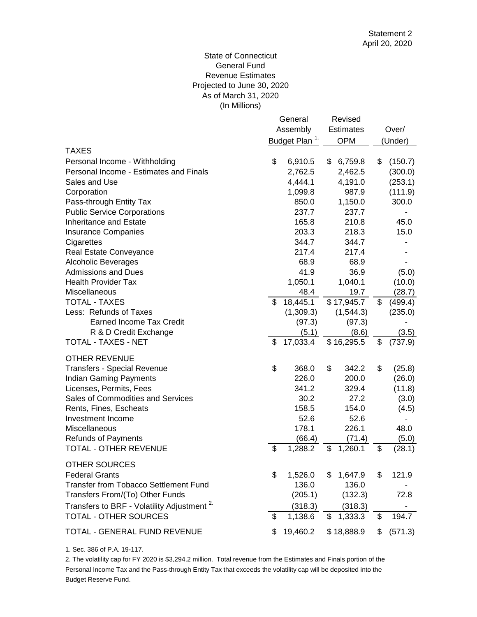# (In Millions) State of Connecticut General Fund Revenue Estimates Projected to June 30, 2020 As of March 31, 2020

|                                                        | General<br>Assembly<br>Budget Plan <sup>1.</sup> | Revised<br><b>Estimates</b><br><b>OPM</b> | Over/<br>(Under) |
|--------------------------------------------------------|--------------------------------------------------|-------------------------------------------|------------------|
| <b>TAXES</b>                                           |                                                  |                                           |                  |
| Personal Income - Withholding                          | \$<br>6,910.5                                    | \$<br>6,759.8                             | \$<br>(150.7)    |
| Personal Income - Estimates and Finals                 | 2,762.5                                          | 2,462.5                                   | (300.0)          |
| Sales and Use                                          | 4,444.1                                          | 4,191.0                                   | (253.1)          |
| Corporation                                            | 1,099.8                                          | 987.9                                     | (111.9)          |
| Pass-through Entity Tax                                | 850.0                                            | 1,150.0                                   | 300.0            |
| <b>Public Service Corporations</b>                     | 237.7                                            | 237.7                                     |                  |
| <b>Inheritance and Estate</b>                          | 165.8                                            | 210.8                                     | 45.0             |
| <b>Insurance Companies</b>                             | 203.3                                            | 218.3                                     | 15.0             |
| Cigarettes                                             | 344.7                                            | 344.7                                     |                  |
| Real Estate Conveyance                                 | 217.4                                            | 217.4                                     |                  |
| <b>Alcoholic Beverages</b>                             | 68.9                                             | 68.9                                      |                  |
| <b>Admissions and Dues</b>                             | 41.9                                             | 36.9                                      | (5.0)            |
| <b>Health Provider Tax</b>                             | 1,050.1                                          | 1,040.1                                   | (10.0)           |
| <b>Miscellaneous</b>                                   | 48.4                                             | 19.7                                      | (28.7)           |
| <b>TOTAL - TAXES</b>                                   | \$<br>18,445.1                                   | \$17,945.7                                | \$<br>(499.4)    |
| Less: Refunds of Taxes                                 | (1,309.3)                                        | (1, 544.3)                                | (235.0)          |
| <b>Earned Income Tax Credit</b>                        | (97.3)                                           | (97.3)                                    |                  |
| R & D Credit Exchange                                  | (5.1)                                            | (8.6)                                     | (3.5)            |
| <b>TOTAL - TAXES - NET</b>                             | \$<br>17,033.4                                   | \$16,295.5                                | \$<br>(737.9)    |
| <b>OTHER REVENUE</b>                                   |                                                  |                                           |                  |
| <b>Transfers - Special Revenue</b>                     | \$<br>368.0                                      | \$<br>342.2                               | \$<br>(25.8)     |
| <b>Indian Gaming Payments</b>                          | 226.0                                            | 200.0                                     | (26.0)           |
| Licenses, Permits, Fees                                | 341.2                                            | 329.4                                     | (11.8)           |
| Sales of Commodities and Services                      | 30.2                                             | 27.2                                      | (3.0)            |
| Rents, Fines, Escheats                                 | 158.5                                            | 154.0                                     | (4.5)            |
| Investment Income                                      | 52.6                                             | 52.6                                      |                  |
| Miscellaneous                                          | 178.1                                            | 226.1                                     | 48.0             |
| <b>Refunds of Payments</b>                             | (66.4)                                           | (71.4)                                    | (5.0)            |
| TOTAL - OTHER REVENUE                                  | \$<br>1,288.2                                    | \$<br>1,260.1                             | \$<br>(28.1)     |
| <b>OTHER SOURCES</b>                                   |                                                  |                                           |                  |
| <b>Federal Grants</b>                                  | \$<br>1,526.0                                    | \$<br>1,647.9                             | \$<br>121.9      |
| <b>Transfer from Tobacco Settlement Fund</b>           | 136.0                                            | 136.0                                     |                  |
| Transfers From/(To) Other Funds                        | (205.1)                                          | (132.3)                                   | 72.8             |
| Transfers to BRF - Volatility Adjustment <sup>2.</sup> | (318.3)                                          | (318.3)                                   |                  |
| <b>TOTAL - OTHER SOURCES</b>                           | \$<br>1,138.6                                    | \$<br>1,333.3                             | \$<br>194.7      |
| TOTAL - GENERAL FUND REVENUE                           | \$<br>19,460.2                                   | \$18,888.9                                | \$<br>(571.3)    |
|                                                        |                                                  |                                           |                  |

1. Sec. 386 of P.A. 19-117.

Budget Reserve Fund. 2. The volatility cap for FY 2020 is \$3,294.2 million. Total revenue from the Estimates and Finals portion of the Personal Income Tax and the Pass-through Entity Tax that exceeds the volatility cap will be deposited into the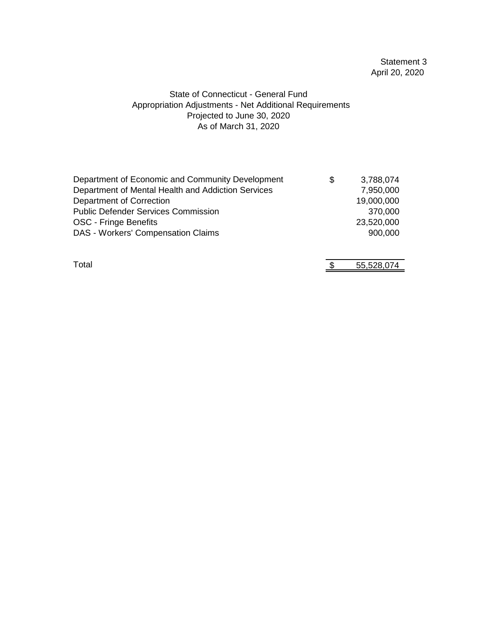# Statement 3 April 20, 2020

# State of Connecticut - General Fund Appropriation Adjustments - Net Additional Requirements As of March 31, 2020 Projected to June 30, 2020

| Department of Economic and Community Development   | S | 3,788,074  |
|----------------------------------------------------|---|------------|
| Department of Mental Health and Addiction Services |   | 7,950,000  |
| Department of Correction                           |   | 19,000,000 |
| <b>Public Defender Services Commission</b>         |   | 370,000    |
| OSC - Fringe Benefits                              |   | 23,520,000 |
| <b>DAS - Workers' Compensation Claims</b>          |   | 900,000    |
|                                                    |   |            |
|                                                    |   |            |

Total 55,528,074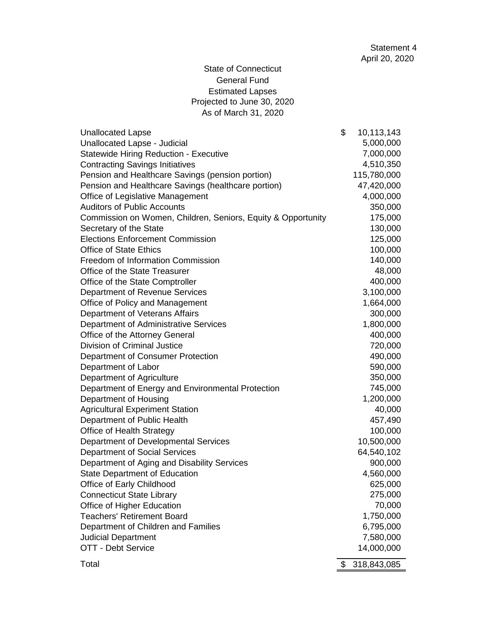# State of Connecticut General Fund Estimated Lapses Projected to June 30, 2020 As of March 31, 2020

| <b>Unallocated Lapse</b>                                     | \$<br>10,113,143  |
|--------------------------------------------------------------|-------------------|
| Unallocated Lapse - Judicial                                 | 5,000,000         |
| <b>Statewide Hiring Reduction - Executive</b>                | 7,000,000         |
| <b>Contracting Savings Initiatives</b>                       | 4,510,350         |
| Pension and Healthcare Savings (pension portion)             | 115,780,000       |
| Pension and Healthcare Savings (healthcare portion)          | 47,420,000        |
| Office of Legislative Management                             | 4,000,000         |
| <b>Auditors of Public Accounts</b>                           | 350,000           |
| Commission on Women, Children, Seniors, Equity & Opportunity | 175,000           |
| Secretary of the State                                       | 130,000           |
| <b>Elections Enforcement Commission</b>                      | 125,000           |
| <b>Office of State Ethics</b>                                | 100,000           |
| <b>Freedom of Information Commission</b>                     | 140,000           |
| Office of the State Treasurer                                | 48,000            |
| Office of the State Comptroller                              | 400,000           |
| Department of Revenue Services                               | 3,100,000         |
| Office of Policy and Management                              | 1,664,000         |
| Department of Veterans Affairs                               | 300,000           |
| Department of Administrative Services                        | 1,800,000         |
| Office of the Attorney General                               | 400,000           |
| <b>Division of Criminal Justice</b>                          | 720,000           |
| Department of Consumer Protection                            | 490,000           |
| Department of Labor                                          | 590,000           |
| Department of Agriculture                                    | 350,000           |
| Department of Energy and Environmental Protection            | 745,000           |
| Department of Housing                                        | 1,200,000         |
| <b>Agricultural Experiment Station</b>                       | 40,000            |
| Department of Public Health                                  | 457,490           |
| Office of Health Strategy                                    | 100,000           |
| Department of Developmental Services                         | 10,500,000        |
| <b>Department of Social Services</b>                         | 64,540,102        |
| Department of Aging and Disability Services                  | 900,000           |
| <b>State Department of Education</b>                         | 4,560,000         |
| Office of Early Childhood                                    | 625,000           |
| <b>Connecticut State Library</b>                             | 275,000           |
| Office of Higher Education                                   | 70,000            |
| <b>Teachers' Retirement Board</b>                            | 1,750,000         |
| Department of Children and Families                          | 6,795,000         |
| <b>Judicial Department</b>                                   | 7,580,000         |
| OTT - Debt Service                                           | 14,000,000        |
| Total                                                        | \$<br>318,843,085 |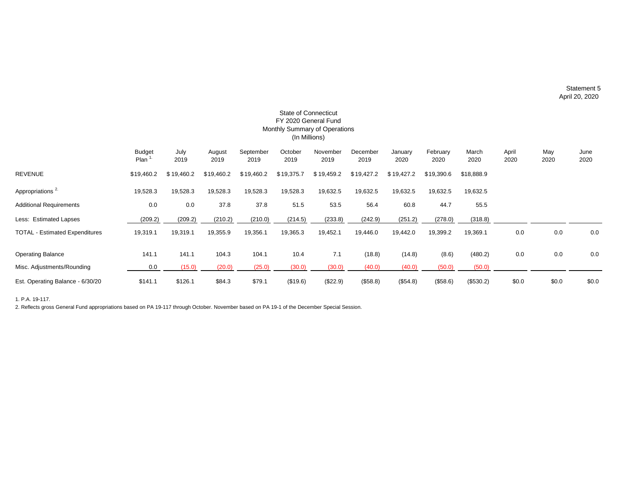|                                       |                       |              |                |                   |                 | FY 2020 General Fund<br>Monthly Summary of Operations<br>(In Millions) |                  |                 |                  |               |               |             |              |
|---------------------------------------|-----------------------|--------------|----------------|-------------------|-----------------|------------------------------------------------------------------------|------------------|-----------------|------------------|---------------|---------------|-------------|--------------|
|                                       | <b>Budget</b><br>Plan | July<br>2019 | August<br>2019 | September<br>2019 | October<br>2019 | November<br>2019                                                       | December<br>2019 | January<br>2020 | February<br>2020 | March<br>2020 | April<br>2020 | May<br>2020 | June<br>2020 |
| <b>REVENUE</b>                        | \$19,460.2            | \$19,460.2   | \$19,460.2     | \$19,460.2        | \$19,375.7      | \$19,459.2                                                             | \$19,427.2       | \$19,427.2      | \$19,390.6       | \$18,888.9    |               |             |              |
| Appropriations <sup>2.</sup>          | 19,528.3              | 19,528.3     | 19,528.3       | 19,528.3          | 19,528.3        | 19,632.5                                                               | 19,632.5         | 19,632.5        | 19,632.5         | 19,632.5      |               |             |              |
| <b>Additional Requirements</b>        | 0.0                   | 0.0          | 37.8           | 37.8              | 51.5            | 53.5                                                                   | 56.4             | 60.8            | 44.7             | 55.5          |               |             |              |
| Less: Estimated Lapses                | (209.2)               | (209.2)      | (210.2)        | (210.0)           | (214.5)         | (233.8)                                                                | (242.9)          | (251.2)         | (278.0)          | (318.8)       |               |             |              |
| <b>TOTAL - Estimated Expenditures</b> | 19,319.1              | 19,319.1     | 19,355.9       | 19,356.1          | 19,365.3        | 19,452.1                                                               | 19,446.0         | 19,442.0        | 19,399.2         | 19,369.1      | 0.0           | 0.0         | 0.0          |
| <b>Operating Balance</b>              | 141.1                 | 141.1        | 104.3          | 104.1             | 10.4            | 7.1                                                                    | (18.8)           | (14.8)          | (8.6)            | (480.2)       | 0.0           | 0.0         | 0.0          |
| Misc. Adjustments/Rounding            | 0.0                   | (15.0)       | (20.0)         | (25.0)            | (30.0)          | (30.0)                                                                 | (40.0)           | (40.0)          | (50.0)           | (50.0)        |               |             |              |
| Est. Operating Balance - 6/30/20      | \$141.1               | \$126.1      | \$84.3         | \$79.1            | (\$19.6)        | (\$22.9)                                                               | (\$58.8)         | (\$54.8)        | (\$58.6)         | (\$530.2)     | \$0.0         | \$0.0       | \$0.0        |

# State of Connecticut

1. P.A. 19-117.

2. Reflects gross General Fund appropriations based on PA 19-117 through October. November based on PA 19-1 of the December Special Session.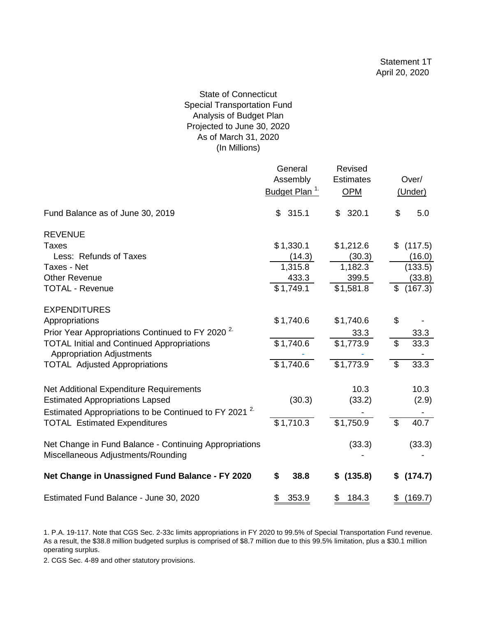# State of Connecticut Special Transportation Fund Analysis of Budget Plan Projected to June 30, 2020 As of March 31, 2020 (In Millions)

|                                                                                                             | General<br>Assembly<br>Budget Plan <sup>1.</sup> | Revised<br><b>Estimates</b><br>OPM | Over/<br>(Under) |
|-------------------------------------------------------------------------------------------------------------|--------------------------------------------------|------------------------------------|------------------|
| Fund Balance as of June 30, 2019                                                                            | 315.1<br>\$                                      | 320.1<br>\$                        | \$<br>5.0        |
| <b>REVENUE</b>                                                                                              |                                                  |                                    |                  |
| Taxes                                                                                                       | \$1,330.1                                        | \$1,212.6                          | \$<br>(117.5)    |
| Less: Refunds of Taxes                                                                                      | (14.3)                                           | (30.3)                             | (16.0)           |
| Taxes - Net                                                                                                 | 1,315.8                                          | 1,182.3                            | (133.5)          |
| <b>Other Revenue</b>                                                                                        | 433.3                                            | 399.5                              | (33.8)           |
| <b>TOTAL - Revenue</b>                                                                                      | \$1,749.1                                        | \$1,581.8                          | \$<br>(167.3)    |
| <b>EXPENDITURES</b>                                                                                         |                                                  |                                    |                  |
| Appropriations                                                                                              | \$1,740.6                                        | \$1,740.6                          | \$               |
| Prior Year Appropriations Continued to FY 2020 <sup>2</sup>                                                 |                                                  | 33.3                               | 33.3             |
| <b>TOTAL Initial and Continued Appropriations</b><br><b>Appropriation Adjustments</b>                       | \$1,740.6                                        | \$1,773.9                          | \$<br>33.3       |
| <b>TOTAL Adjusted Appropriations</b>                                                                        | \$1,740.6                                        | \$1,773.9                          | 33.3<br>\$       |
| Net Additional Expenditure Requirements                                                                     |                                                  | 10.3                               | 10.3             |
| <b>Estimated Appropriations Lapsed</b><br>Estimated Appropriations to be Continued to FY 2021 <sup>2.</sup> | (30.3)                                           | (33.2)                             | (2.9)            |
| <b>TOTAL Estimated Expenditures</b>                                                                         | \$1,710.3                                        | $$1,750.\overline{9}$              | \$<br>40.7       |
| Net Change in Fund Balance - Continuing Appropriations<br>Miscellaneous Adjustments/Rounding                |                                                  | (33.3)                             | (33.3)           |
| Net Change in Unassigned Fund Balance - FY 2020                                                             | \$<br>38.8                                       | (135.8)<br>\$                      | \$<br>(174.7)    |
| Estimated Fund Balance - June 30, 2020                                                                      | 353.9<br>\$                                      | 184.3<br>\$                        | (169.7)<br>\$    |

<sup>1.</sup> P.A. 19-117. Note that CGS Sec. 2-33c limits appropriations in FY 2020 to 99.5% of Special Transportation Fund revenue. As a result, the \$38.8 million budgeted surplus is comprised of \$8.7 million due to this 99.5% limitation, plus a \$30.1 million operating surplus.

2. CGS Sec. 4-89 and other statutory provisions.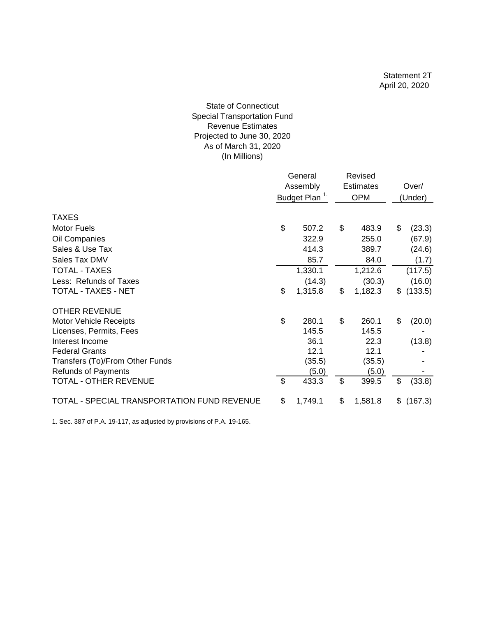# As of March 31, 2020 (In Millions) State of Connecticut Special Transportation Fund Revenue Estimates Projected to June 30, 2020

|                                             | General<br>Assembly<br>Budget Plan <sup>1.</sup> |         |    | Revised          |                  |         |  |
|---------------------------------------------|--------------------------------------------------|---------|----|------------------|------------------|---------|--|
|                                             |                                                  |         |    | <b>Estimates</b> | Over/<br>(Under) |         |  |
|                                             |                                                  |         |    | <b>OPM</b>       |                  |         |  |
| <b>TAXES</b>                                |                                                  |         |    |                  |                  |         |  |
| <b>Motor Fuels</b>                          | \$                                               | 507.2   | \$ | 483.9            | \$               | (23.3)  |  |
| Oil Companies                               |                                                  | 322.9   |    | 255.0            |                  | (67.9)  |  |
| Sales & Use Tax                             |                                                  | 414.3   |    | 389.7            |                  | (24.6)  |  |
| Sales Tax DMV                               |                                                  | 85.7    |    | 84.0             |                  | (1.7)   |  |
| <b>TOTAL - TAXES</b>                        |                                                  | 1,330.1 |    | 1,212.6          |                  | (117.5) |  |
| Less: Refunds of Taxes                      |                                                  | (14.3)  |    | (30.3)           |                  | (16.0)  |  |
| TOTAL - TAXES - NET                         | $\mathcal{S}$                                    | 1,315.8 | \$ | 1,182.3          | \$               | (133.5) |  |
| <b>OTHER REVENUE</b>                        |                                                  |         |    |                  |                  |         |  |
| <b>Motor Vehicle Receipts</b>               | \$                                               | 280.1   | \$ | 260.1            | \$               | (20.0)  |  |
| Licenses, Permits, Fees                     |                                                  | 145.5   |    | 145.5            |                  |         |  |
| Interest Income                             |                                                  | 36.1    |    | 22.3             |                  | (13.8)  |  |
| <b>Federal Grants</b>                       |                                                  | 12.1    |    | 12.1             |                  |         |  |
| Transfers (To)/From Other Funds             |                                                  | (35.5)  |    | (35.5)           |                  |         |  |
| <b>Refunds of Payments</b>                  |                                                  | (5.0)   |    | (5.0)            |                  |         |  |
| <b>TOTAL - OTHER REVENUE</b>                | $\boldsymbol{\mathsf{s}}$                        | 433.3   | \$ | 399.5            | \$               | (33.8)  |  |
| TOTAL - SPECIAL TRANSPORTATION FUND REVENUE | \$                                               | 1,749.1 | \$ | 1,581.8          | \$               | (167.3) |  |

1. Sec. 387 of P.A. 19-117, as adjusted by provisions of P.A. 19-165.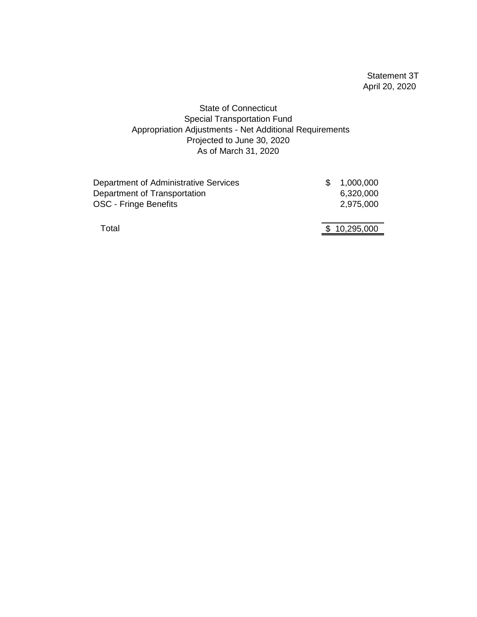Statement 3T April 20, 2020

# State of Connecticut Special Transportation Fund Appropriation Adjustments - Net Additional Requirements Projected to June 30, 2020 As of March 31, 2020

| Department of Administrative Services | 1,000,000    |
|---------------------------------------|--------------|
| Department of Transportation          | 6,320,000    |
| OSC - Fringe Benefits                 | 2,975,000    |
| Total                                 | \$10,295,000 |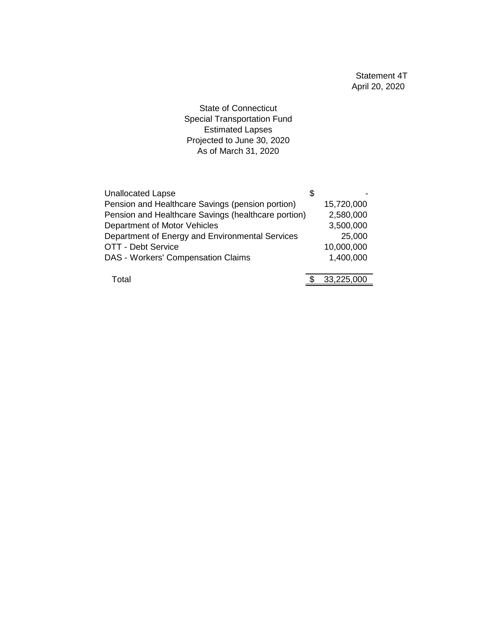State of Connecticut Special Transportation Fund Estimated Lapses Projected to June 30, 2020 As of March 31, 2020

| <b>Unallocated Lapse</b>                            | \$         |
|-----------------------------------------------------|------------|
| Pension and Healthcare Savings (pension portion)    | 15,720,000 |
| Pension and Healthcare Savings (healthcare portion) | 2,580,000  |
| Department of Motor Vehicles                        | 3,500,000  |
| Department of Energy and Environmental Services     | 25,000     |
| <b>OTT - Debt Service</b>                           | 10,000,000 |
| DAS - Workers' Compensation Claims                  | 1,400,000  |
|                                                     |            |
| Total                                               | 33,225,000 |